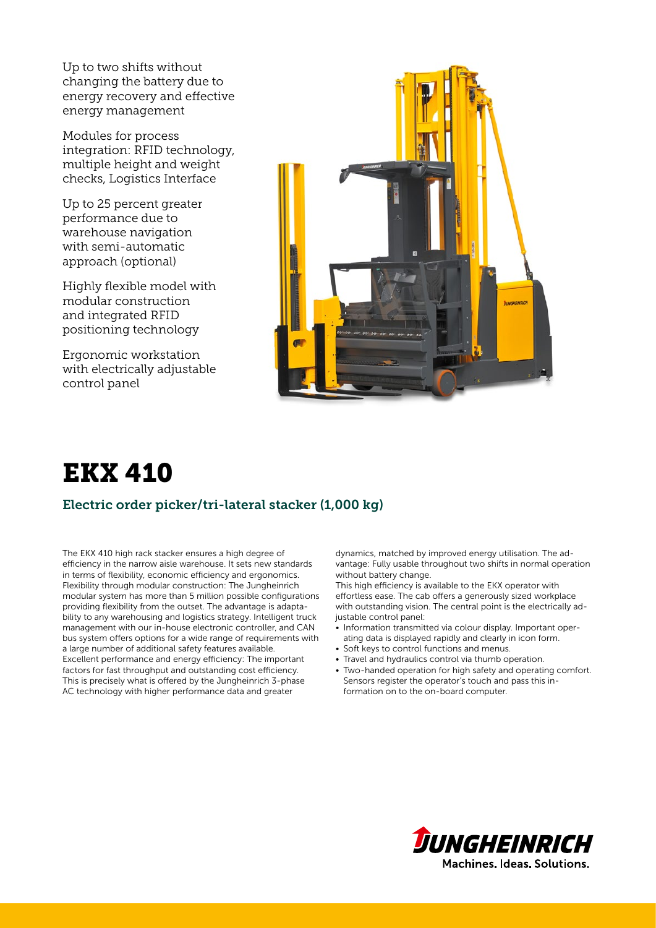Up to two shifts without changing the battery due to energy recovery and effective energy management

Modules for process integration: RFID technology, multiple height and weight checks, Logistics Interface

Up to 25 percent greater performance due to warehouse navigation with semi-automatic approach (optional)

Highly flexible model with modular construction and integrated RFID positioning technology

Ergonomic workstation with electrically adjustable control panel



# EKX 410

### Electric order picker/tri-lateral stacker (1,000 kg)

The EKX 410 high rack stacker ensures a high degree of efficiency in the narrow aisle warehouse. It sets new standards in terms of flexibility, economic efficiency and ergonomics. Flexibility through modular construction: The Jungheinrich modular system has more than 5 million possible configurations providing flexibility from the outset. The advantage is adaptability to any warehousing and logistics strategy. Intelligent truck management with our in-house electronic controller, and CAN bus system offers options for a wide range of requirements with a large number of additional safety features available. Excellent performance and energy efficiency: The important factors for fast throughput and outstanding cost efficiency. This is precisely what is offered by the Jungheinrich 3-phase AC technology with higher performance data and greater

dynamics, matched by improved energy utilisation. The advantage: Fully usable throughout two shifts in normal operation without battery change.

This high efficiency is available to the EKX operator with effortless ease. The cab offers a generously sized workplace with outstanding vision. The central point is the electrically adjustable control panel:

- Information transmitted via colour display. Important operating data is displayed rapidly and clearly in icon form.
- Soft keys to control functions and menus.
- Travel and hydraulics control via thumb operation.
- Two-handed operation for high safety and operating comfort. Sensors register the operator's touch and pass this information on to the on-board computer.

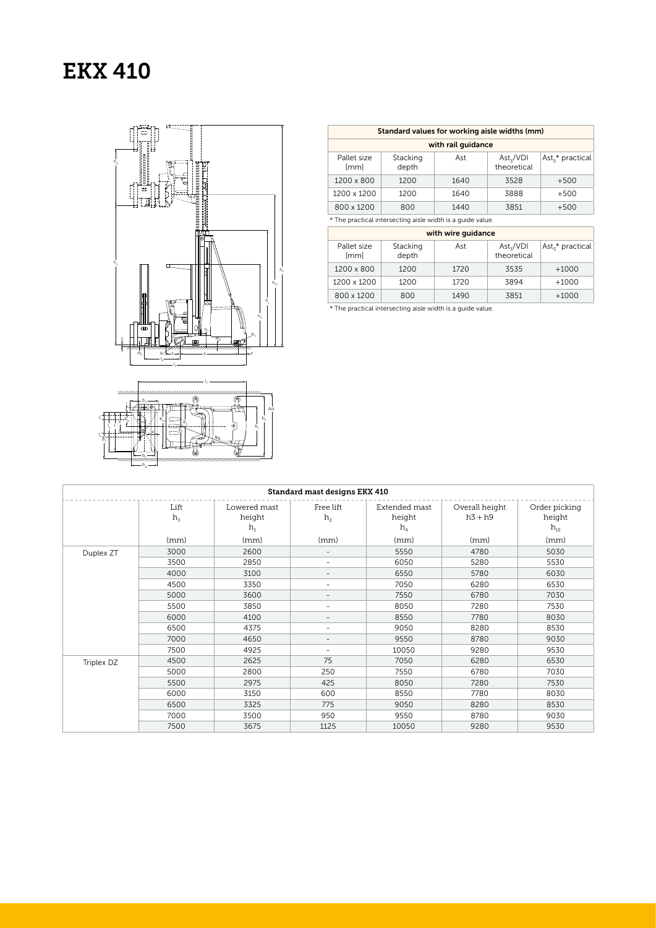## EKX 410



 $b_{12}$ 

| Standard values for working aisle widths (mm)              |                   |      |                                          |                              |  |  |  |  |
|------------------------------------------------------------|-------------------|------|------------------------------------------|------------------------------|--|--|--|--|
| with rail quidance                                         |                   |      |                                          |                              |  |  |  |  |
| Pallet size<br><i>[mm]</i>                                 | Stacking<br>depth | Ast  | $\text{Ast}_z/\text{VDI}$<br>theoretical | Ast <sub>z</sub> * practical |  |  |  |  |
| 1200 x 800                                                 | 1200              | 1640 | 3528                                     | $+500$                       |  |  |  |  |
| 1200 x 1200                                                | 1200              | 1640 | 3888                                     | $+500$                       |  |  |  |  |
| 800 x 1200                                                 | 800               | 1440 | 3851                                     | $+500$                       |  |  |  |  |
| * The practical intersecting aisle width is a quide value. |                   |      |                                          |                              |  |  |  |  |

with wire guidance Pallet size [mm] Stacking depth Ast  $\begin{array}{c|c}\n\text{Ast}_3/\text{VDI} \\
\text{theoretical}\n\end{array}$  $\text{Ast}_{3}^{\star}$  practical 1200 x 800 1200 1720 3535 +1000

1200 x 1200 1200 1720 3894 +1000 800 x 1200 800 1490 3851 +1000

\* The practical intersecting aisle width is a guide value.

| Standard mast designs EKX 410 |                 |                                 |                             |                                  |                             |                                     |  |
|-------------------------------|-----------------|---------------------------------|-----------------------------|----------------------------------|-----------------------------|-------------------------------------|--|
|                               | Lift<br>$h_{3}$ | Lowered mast<br>height<br>$h_1$ | Free lift<br>h <sub>2</sub> | Extended mast<br>height<br>$h_4$ | Overall height<br>$h3 + h9$ | Order picking<br>height<br>$h_{15}$ |  |
|                               | (mm)            | (mm)                            | (mm)                        | (mm)                             | (mm)                        | (mm)                                |  |
| Duplex ZT                     | 3000            | 2600                            | $\overline{\phantom{0}}$    | 5550                             | 4780                        | 5030                                |  |
|                               | 3500            | 2850                            | $\overline{a}$              | 6050                             | 5280                        | 5530                                |  |
|                               | 4000            | 3100                            | $\overline{\phantom{a}}$    | 6550                             | 5780                        | 6030                                |  |
|                               | 4500            | 3350                            | $\sim$                      | 7050                             | 6280                        | 6530                                |  |
|                               | 5000            | 3600                            | $\overline{a}$              | 7550                             | 6780                        | 7030                                |  |
|                               | 5500            | 3850                            | L,                          | 8050                             | 7280                        | 7530                                |  |
|                               | 6000            | 4100                            | $\qquad \qquad -$           | 8550                             | 7780                        | 8030                                |  |
|                               | 6500            | 4375                            | ٠                           | 9050                             | 8280                        | 8530                                |  |
|                               | 7000            | 4650                            | ٠                           | 9550                             | 8780                        | 9030                                |  |
|                               | 7500            | 4925                            | $\overline{\phantom{a}}$    | 10050                            | 9280                        | 9530                                |  |
| Triplex DZ                    | 4500            | 2625                            | 75                          | 7050                             | 6280                        | 6530                                |  |
|                               | 5000            | 2800                            | 250                         | 7550                             | 6780                        | 7030                                |  |
|                               | 5500            | 2975                            | 425                         | 8050                             | 7280                        | 7530                                |  |
|                               | 6000            | 3150                            | 600                         | 8550                             | 7780                        | 8030                                |  |
|                               | 6500            | 3325                            | 775                         | 9050                             | 8280                        | 8530                                |  |
|                               | 7000            | 3500                            | 950                         | 9550                             | 8780                        | 9030                                |  |
|                               | 7500            | 3675                            | 1125                        | 10050                            | 9280                        | 9530                                |  |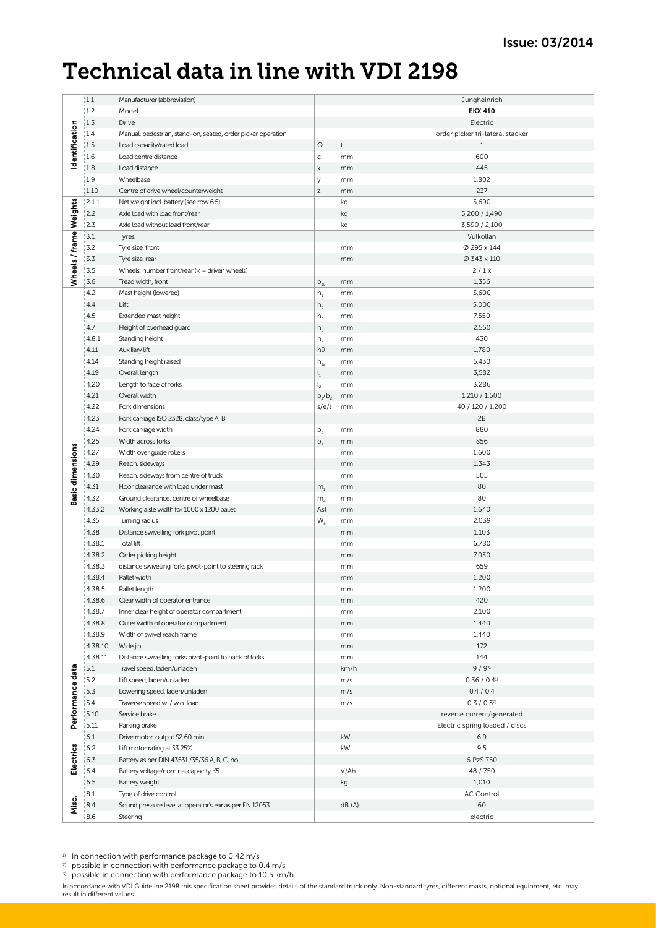## Technical data in line with VDI 2198

|                         | 1.1     | Manufacturer (abbreviation)                                                   |                           |              | Jungheinrich                     |
|-------------------------|---------|-------------------------------------------------------------------------------|---------------------------|--------------|----------------------------------|
|                         | 1.2     | Model                                                                         |                           |              | <b>EKX 410</b>                   |
|                         | 1.3     | Drive                                                                         |                           |              | Electric                         |
|                         | 1.4     | Manual, pedestrian, stand-on, seated, order picker operation                  |                           |              | order picker tri-lateral stacker |
| Identification          | 1.5     | Load capacity/rated load                                                      | $\hbox{\large \it Q}$     | $\mathsf{t}$ | $\mathbf{1}$                     |
|                         | 1.6     | Load centre distance                                                          | $\mathsf{C}$              | mm           | 600                              |
|                         | 1.8     | Load distance                                                                 | X                         | mm           | 445                              |
|                         | 1.9     | Wheelbase                                                                     | У                         | mm           | 1,802                            |
|                         | 1.10    |                                                                               | $\mathsf Z$               | mm           | 237                              |
|                         | 2.1.1   | Centre of drive wheel/counterweight<br>Net weight incl. battery (see row 6.5) |                           |              | 5,690                            |
|                         |         |                                                                               |                           | kg           |                                  |
|                         | 2.2     | Axle load with load front/rear                                                |                           | kg           | 5,200 / 1,490                    |
|                         | 12.3    | Axle load without load front/rear                                             |                           | kg           | 3,590 / 2,100                    |
| Wheels / frame Weights  | 3.1     | Tyres                                                                         |                           |              | Vulkollan                        |
|                         | 3.2     | Tyre size, front                                                              |                           | mm           | Ø 295 x 144                      |
|                         | 3.3     | Tyre size, rear                                                               |                           | mm           | Ø 343 x 110                      |
|                         | 3.5     | Wheels, number front/rear $(x =$ driven wheels)                               |                           |              | 2/1x                             |
|                         | 3.6     | Tread width, front                                                            | $b_{10}$                  | mm           | 1,356                            |
|                         | 4.2     | Mast height (lowered)                                                         | $h_1$                     | mm           | 3,600                            |
|                         | 4.4     | Lift                                                                          | h <sub>3</sub>            | mm           | 5,000                            |
|                         | 4.5     | Extended mast height                                                          | $h_4$                     | mm           | 7,550                            |
|                         | 4.7     | Height of overhead guard                                                      | $h_6$                     | mm           | 2,550                            |
|                         | 4.8.1   | Standing height                                                               | h <sub>7</sub>            | mm           | 430                              |
|                         | 4.11    | Auxiliary lift                                                                | h9                        | mm           | 1,780                            |
|                         | 4.14    | Standing height raised                                                        | $h_{12}$                  | mm           | 5,430                            |
|                         | 4.19    | Overall length                                                                | $\mathsf{l}_1$            | mm           | 3,582                            |
|                         | 4.20    | Length to face of forks                                                       | $l_{2}$                   | mm           | 3,286                            |
|                         | 4.21    | Overall width                                                                 | $b_1/b_2$                 | mm           | 1,210 / 1,500                    |
|                         | 4.22    | Fork dimensions                                                               | s/e/l                     | mm           | 40 / 120 / 1,200                 |
|                         | 4.23    | Fork carriage ISO 2328, class/type A, B                                       |                           |              | 2B                               |
|                         | 4.24    | Fork carriage width                                                           | $b_3$                     | mm           | 880                              |
|                         | 4.25    | Width across forks                                                            | b <sub>5</sub>            | mm           | 856                              |
|                         | 4.27    | Width over guide rollers                                                      |                           | mm           | 1,600                            |
| <b>Basic dimensions</b> | 4.29    |                                                                               |                           |              | 1,343                            |
|                         | 4.30    | Reach, sideways                                                               |                           | mm<br>mm     | 505                              |
|                         |         | Reach, sideways from centre of truck                                          |                           |              | 80                               |
|                         | 4.31    | Floor clearance with load under mast                                          | m <sub>1</sub>            | mm           | 80                               |
|                         | 4.32    | Ground clearance, centre of wheelbase                                         | m <sub>2</sub>            | mm           |                                  |
|                         | 4.33.2  | Working aisle width for 1000 x 1200 pallet                                    | Ast                       | mm           | 1,640                            |
|                         | 4.35    | Turning radius                                                                | $\mathsf{W}_{\mathsf{a}}$ | mm           | 2,039                            |
|                         | 4.38    | Distance swivelling fork pivot point                                          |                           | mm           | 1,103                            |
|                         | 4.38.1  | <b>Total lift</b>                                                             |                           | mm           | 6,780                            |
|                         | 4.38.2  | Order picking height                                                          |                           | mm           | 7,030                            |
|                         | 4.38.3  | distance swivelling forks pivot-point to steering rack                        |                           | mm           | 659                              |
|                         | 4.38.4  | Pallet width                                                                  |                           | mm           | 1,200                            |
|                         | 4.38.5  | Pallet length                                                                 |                           | mm           | 1,200                            |
|                         | 4.38.6  | Clear width of operator entrance                                              |                           | mm           | 420                              |
|                         | 4.38.7  | Inner clear height of operator compartment                                    |                           | mm           | 2,100                            |
|                         | 4.38.8  | Outer width of operator compartment                                           |                           | mm           | 1,440                            |
|                         | 4.38.9  | Width of swivel reach frame                                                   |                           | mm           | 1,440                            |
|                         | 4.38.10 | Wide jib                                                                      |                           | mm           | 172                              |
|                         | 4.38.11 | Distance swivelling forks pivot-point to back of forks                        |                           | mm           | 144                              |
| Performance data        | 5.1     | Travel speed, laden/unladen                                                   |                           | km/h         | 9/93                             |
|                         | 5.2     | Lift speed, laden/unladen                                                     |                           | m/s          | 0.36 / 0.41                      |
|                         | 15.3    | Lowering speed, laden/unladen                                                 |                           | m/s          | 0.4 / 0.4                        |
|                         | 5.4     | Traverse speed w. / w.o. load                                                 |                           | m/s          | $0.3 / 0.3^{2}$                  |
|                         | 5.10    | Service brake                                                                 |                           |              | reverse current/generated        |
|                         | 15.11   | Parking brake                                                                 |                           |              | Electric spring loaded / discs   |
| Electrics               | 6.1     | Drive motor, output S2 60 min.                                                |                           | kW           | 6.9                              |
|                         | 6.2     | Lift motor rating at S3 25%                                                   |                           | kW           | 9.5                              |
|                         | 6.3     | Battery as per DIN 43531/35/36 A, B, C, no                                    |                           |              | 6 PzS 750                        |
|                         | 6.4     | Battery voltage/nominal capacity K5                                           |                           | V/Ah         | 48 / 750                         |
|                         | 6.5     | Battery weight                                                                |                           | kg           | 1,010                            |
|                         | 8.1     | Type of drive control                                                         |                           |              | <b>AC Control</b>                |
| Misc.                   | 8.4     | Sound pressure level at operator's ear as per EN 12053                        |                           | dB(A)        | 60                               |
|                         | 8.6     | Steering                                                                      |                           |              | electric                         |
|                         |         |                                                                               |                           |              |                                  |

<sup>1)</sup> In connection with performance package to 0.42 m/s

<sup>2)</sup> possible in connection with performance package to 0.4 m/s

<sup>3)</sup> possible in connection with performance package to 10.5 km/h

In accordance with VDI Guideline 2198 this specification sheet provides details of the standard truck only. Non-standard tyres, different masts, optional equipment, etc. may<br>result in different values.